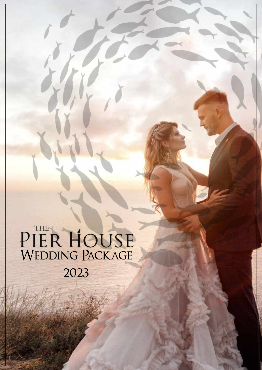PIER HOUSE 2023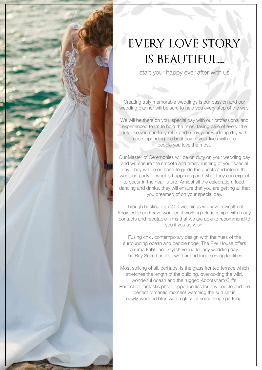

# EVERY LOVE STORY is beautiful...

start your happy ever after with us

Creating truly memorable weddings is our passion and our wedding planner will be sure to help you every step of the way.

We will be there on your special day with our professional and experienced team to hold the reins, taking care of every little detail so you can truly relax and enjoy your wedding day with ease, spending the best day of your lives with the people you love the most.

Our Master of Ceremonies will be on duty on your wedding day and will ensure the smooth and timely running of your special day. They will be on hand to guide the guests and inform the wedding party of what is happening and what they can expect to occur in the near future. Amidst all the celebration, food, dancing and drinks, they will ensure that you are getting all that you dreamed of on your special day.

Through hosting over 400 weddings we have a wealth of knowledge and have wonderful working relationships with many contacts and reputable firms that we are able to recommend to you if you so wish.

Fusing chic, contemporary design with the hues of the surrounding ocean and pebble ridge, The Pier House offers a remarkable and stylish venue for any wedding day. The Bay Suite has it's own bar and food serving facilities.

Most striking of all, perhaps, is the glass fronted terrace which stretches the length of the building, overlooking the wild, wonderful ocean and the rugged Abbotsham Cliffs. Perfect for fantastic photo opportunities for any couple and the perfect romantic moment watching the sun set in newly-wedded bliss with a glass of something sparkling.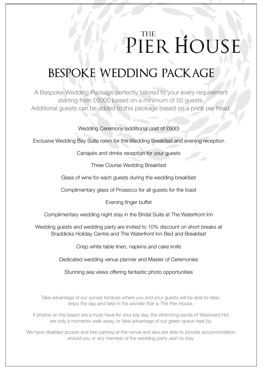## **THE** PIER HOUSE

# bespoke wedding package

A Bespoke Wedding Package perfectly tailored to your every requirement starting from £6000 based on a minimum of 50 guests. Additional guests can be added to this package based on a price per head.

Wedding Ceremony (additional cost of £600)

Exclusive Wedding Bay Suite room for the Wedding Breakfast and evening reception

Canapés and drinks reception for your guests

Three Course Wedding Breakfast

Glass of wine for each guests during the wedding breakfast

Complimentary glass of Prosecco for all guests for the toast

Evening finger buffet

Complimentary wedding night stay in the Bridal Suite at The Waterfront Inn

Wedding guests and wedding party are invited to 10% discount on short breaks at Braddicks Holiday Centre and The Waterfront Inn Bed and Breakfast

Crisp white table linen, napkins and cake knife

Dedicated wedding venue planner and Master of Ceremonies

Stunning sea views offering fantastic photo opportunities

Take advantage of our sunset terraces where you and your guests will be able to relax, enjoy the day and take in the wonder that is The Pier House.

If photos on the beach are a must have for your big day, the stretching sands of Westward Ho! are only a moments walk away, or take advantage of our green space near by.

We have disabled access and free parking at the venue and also are able to provide accommodation should you or any member of the wedding party wish to stay.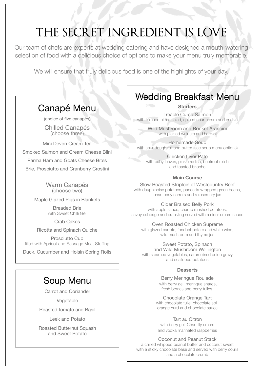# the secret ingredient is love

Our team of chefs are experts at wedding catering and have designed a mouth-watering selection of food with a delicious choice of options to make your menu truly memorable.

We will ensure that truly delicious food is one of the highlights of your day.

### Canapé Menu

(choice of five canapés)

Chilled Canapés (choose three)

Mini Devon Cream Tea Smoked Salmon and Cream Cheese Blini

Parma Ham and Goats Cheese Bites

Brie, Prosciutto and Cranberry Crostini

Warm Canapés (choose two)

Maple Glazed Pigs in Blankets

Breaded Brie with Sweet Chilli Gel

Crab Cakes

Ricotta and Spinach Quiche

Prosciutto Cup filled with Apricot and Sausage Meat Stuffing

Duck, Cucumber and Hoisin Spring Rolls

### Soup Menu

Carrot and Coriander

Vegetable

Roasted tomato and Basil

Leek and Potato

Roasted Butternut Squash and Sweet Potato

### Wedding Breakfast Menu

**Starters**

Treacle Cured Salmon with torched citrus salad, spiced sour cream and endive

> Wild Mushroom and Rocket Arancini with pickled walnuts and herb oil

Homemade Soup with sour dough roll and butter (see soup menu options)

Chicken Liver Pate with baby leaves, pickle radish, beetroot relish and toasted brioche

#### **Main Course**

Slow Roasted Striploin of Westcountry Beef with dauphinoise potatoes, pancetta wrapped green beans, chantenay carrots and a rosemary jus

Cider Braised Belly Pork

with apple sauce, champ mashed potatoes, savoy cabbage and crackling served with a cider cream sauce

Oven Roasted Chicken Supreme

with glazed carrots, fondant potato and white wine, wild mushroom and thyme jus

#### Sweet Potato, Spinach

and Wild Mushroom Wellington with steamed vegetables, caramelised onion gravy and scalloped potatoes

#### **Desserts**

Berry Meringue Roulade with berry gel, meringue shards, fresh berries and berry tuiles.

Chocolate Orange Tart

with chocolate tuile, chocolate soil, orange curd and chocolate sauce

#### Tart au Citron

with berry gel, Chantilly cream and vodka marinated raspberries

Coconut and Peanut Stack

a chilled whipped peanut butter and coconut sweet with a sticky chocolate base and served with berry coulis and a chocolate crumb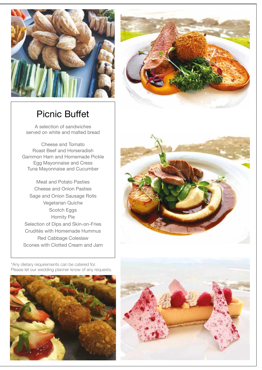

### Picnic Buffet

A selection of sandwiches served on white and malted bread

Cheese and Tomato Roast Beef and Horseradish Gammon Ham and Homemade Pickle Egg Mayonnaise and Cress Tuna Mayonnaise and Cucumber

Meat and Potato Pasties Cheese and Onion Pasties Sage and Onion Sausage Rolls Vegetarian Quiche Scotch Eggs Homity Pie Selection of Dips and Skin-on-Fries Crudités with Homemade Hummus Red Cabbage Coleslaw Scones with Clotted Cream and Jam



\*Any dietary requirements can be catered for. Please let our wedding planner know of any requests.



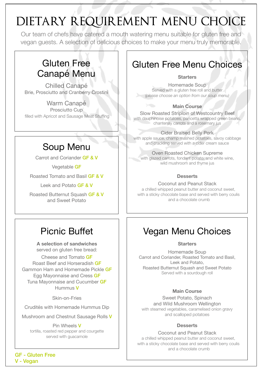# dietary requirement menu choice

Our team of chefs have catered a mouth watering menu suitable for gluten free and vegan guests. A selection of delicious choices to make your menu truly memorable.

### Gluten Free Canapé Menu

Chilled Canapé Brie, Prosciutto and Cranberry Crostini

Warm Canapé Prosciutto Cup filled with Apricot and Sausage Meat Stuffing

### Soup Menu

Carrot and Coriander GF & V

Vegetable GF

Roasted Tomato and Basil GF & V

Leek and Potato **GF & V** 

Roasted Butternut Squash GF & V and Sweet Potato

### Picnic Buffet

**A selection of sandwiches**  served on gluten free bread:

Cheese and Tomato GF Roast Beef and Horseradish GF Gammon Ham and Homemade Pickle GF Egg Mayonnaise and Cress GF Tuna Mayonnaise and Cucumber GF Hummus V

Skin-on-Fries

Crudités with Homemade Hummus Dip

Mushroom and Chestnut Sausage Rolls V

Pin Wheels V tortilla, roasted red pepper and courgette served with guacamole

### Gluten Free Menu Choices

#### **Starters**

Homemade Soup Served with a gluten free roll and butter *(please choose an option from our soup menu)*

#### **Main Course**

Slow Roasted Striploin of Westcountry Beef with dauphinoise potatoes, pancetta wrapped green beans, chantenay carrots and a rosemary jus

#### Cider Braised Belly Pork

with apple sauce, champ mashed potatoes, savoy cabbage and crackling served with a cider cream sauce

#### Oven Roasted Chicken Supreme

with glazed carrots, fondant potato, and white wine, wild mushroom and thyme jus

#### **Desserts**

Coconut and Peanut Stack a chilled whipped peanut butter and coconut sweet, with a sticky chocolate base and served with berry coulis and a chocolate crumb

### Vegan Menu Choices

**Starters**

Homemade Soup Carrot and Coriander, Roasted Tomato and Basil, Leek and Potato, Roasted Butternut Squash and Sweet Potato Served with a sourdough roll

#### **Main Course**

Sweet Potato, Spinach and Wild Mushroom Wellington with steamed vegetables, caramelised onion gravy and scalloped potatoes

#### **Desserts**

Coconut and Peanut Stack a chilled whipped peanut butter and coconut sweet, with a sticky chocolate base and served with berry coulis and a chocolate crumb

GF - Gluten Free V - Vegan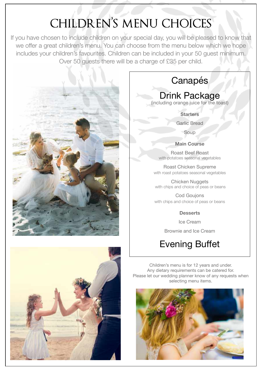# CHILDREN'S MENU CHOICES

If you have chosen to include children on your special day, you will be pleased to know that we offer a great children's menu. You can choose from the menu below which we hope includes your children's favourites. Children can be included in your 50 guest minimum. Over 50 guests there will be a charge of £35 per child.





### Canapés

### Drink Package

(including orange juice for the toast)

**Starters**

Garlic Bread

Soup

#### **Main Course**

Roast Beef Roast with potatoes seasonal vegetables

Roast Chicken Supreme with roast potatoes seasonal vegetables

Chicken Nuggets with chips and choice of peas or beans

Cod Goujons with chips and choice of peas or beans

**Desserts**

Ice Cream

Brownie and Ice Cream

### Evening Buffet

Children's menu is for 12 years and under. Any dietary requirements can be catered for. Please let our wedding planner know of any requests when selecting menu items.

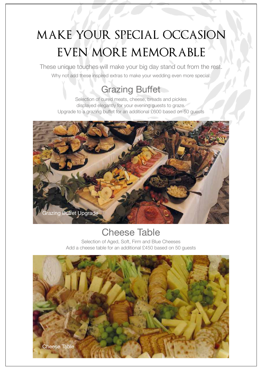# make your special occasion even more memorable

These unique touches will make your big day stand out from the rest. Why not add these inspired extras to make your wedding even more special:

### Grazing Buffet

Selection of cured meats, cheese, breads and pickles displayed elegantly for your evening guests to graze. Upgrade to a grazing buffet for an additional £600 based on 50 guests



### Cheese Table

Selection of Aged, Soft, Firm and Blue Cheeses Add a cheese table for an additional £450 based on 50 guests

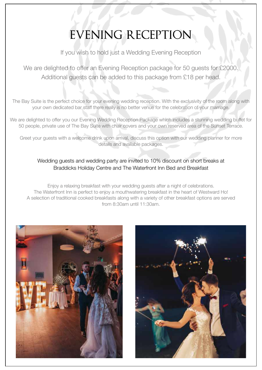# evening reception

If you wish to hold just a Wedding Evening Reception

We are delighted to offer an Evening Reception package for 50 guests for £2000. Additional guests can be added to this package from £18 per head.

The Bay Suite is the perfect choice for your evening wedding reception. With the exclusivity of the room along with your own dedicated bar staff there really is no better venue for the celebration of your marriage.

We are delighted to offer you our Evening Wedding Reception Package which includes a stunning wedding buffet for 50 people, private use of The Bay Suite with chair covers and your own reserved area of the Sunset Terrace.

Greet your guests with a welcome drink upon arrival, discuss this option with our wedding planner for more details and available packages.

#### Wedding guests and wedding party are invited to 10% discount on short breaks at Braddicks Holiday Centre and The Waterfront Inn Bed and Breakfast

Enjoy a relaxing breakfast with your wedding guests after a night of celebrations. The Waterfront Inn is perfect to enjoy a mouthwatering breakfast in the heart of Westward Ho! A selection of traditional cooked breakfasts along with a variety of other breakfast options are served from 8:30am until 11:30am.



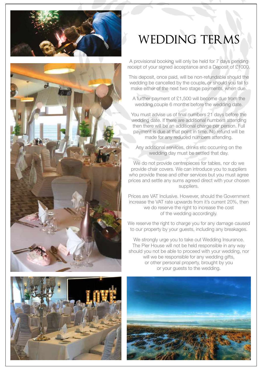



# wedding terms

A provisional booking will only be held for 7 days pending receipt of your signed acceptance and a Deposit of £1000.

This deposit, once paid, will be non-refundable should the wedding be cancelled by the couple, or should you fail to make either of the next two stage payments, when due.

A further payment of £1,500 will become due from the wedding couple 6 months before the wedding date.

You must advise us of final numbers 21 days before the wedding date. If there are additional numbers attending then there will be an additional charge per person. Full payment is due at that point in time. No refund will be made for any reduced numbers attending.

Any additional services, drinks etc occurring on the wedding day must be settled that day.

We do not provide centrepieces for tables, nor do we provide chair covers. We can introduce you to suppliers who provide these and other services but you must agree prices and settle any sums agreed direct with your chosen suppliers.

Prices are VAT Inclusive. However, should the Government increase the VAT rate upwards from it's current 20%, then we do reserve the right to increase the cost of the wedding accordingly.

We reserve the right to charge you for any damage caused to our property by your guests, including any breakages.

We strongly urge you to take out Wedding Insurance. The Pier House will not be held responsible in any way should you not be able to proceed with your wedding, nor will we be responsible for any wedding gifts, or other personal property, brought by you or your guests to the wedding.



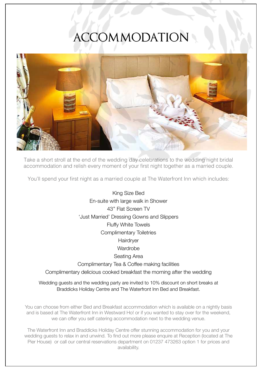# accommodation



Take a short stroll at the end of the wedding day celebrations to the wedding night bridal accommodation and relish every moment of your first night together as a married couple.

You'll spend your first night as a married couple at The Waterfront Inn which includes:

King Size Bed En-suite with large walk in Shower 43'' Flat Screen TV 'Just Married' Dressing Gowns and Slippers Fluffy White Towels Complimentary Toiletries Hairdryer **Wardrobe** Seating Area Complimentary Tea & Coffee making facilities Complimentary delicious cooked breakfast the morning after the wedding

Wedding guests and the wedding party are invited to 10% discount on short breaks at Braddicks Holiday Centre and The Waterfront Inn Bed and Breakfast.

You can choose from either Bed and Breakfast accommodation which is available on a nightly basis and is based at The Waterfront Inn in Westward Ho! or if you wanted to stay over for the weekend, we can offer you self catering accommodation next to the wedding venue.

The Waterfront Inn and Braddicks Holiday Centre offer stunning accommodation for you and your wedding guests to relax in and unwind. To find out more please enquire at Reception (located at The Pier House) or call our central reservations department on 01237 473263 option 1 for prices and availability.